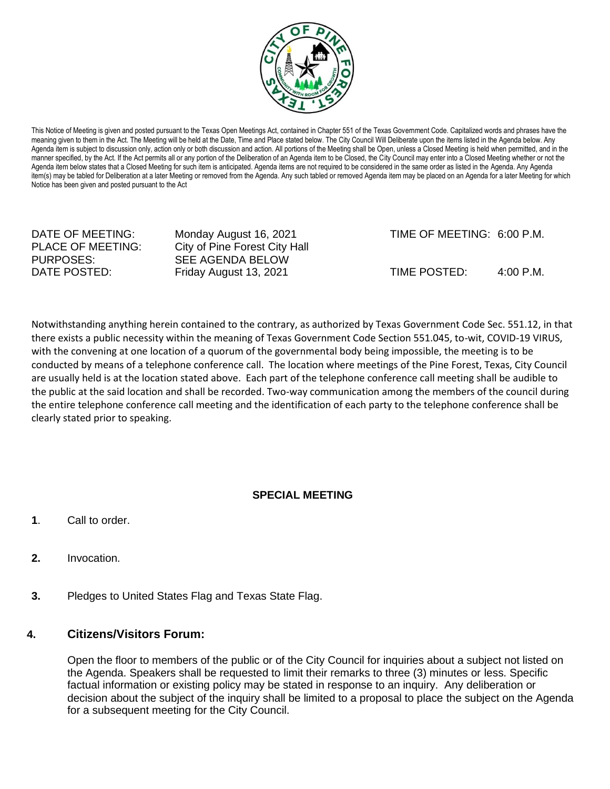

This Notice of Meeting is given and posted pursuant to the Texas Open Meetings Act, contained in Chapter 551 of the Texas Government Code. Capitalized words and phrases have the meaning given to them in the Act. The Meeting will be held at the Date, Time and Place stated below. The City Council Will Deliberate upon the items listed in the Agenda below. Any Agenda item is subject to discussion only, action only or both discussion and action. All portions of the Meeting shall be Open, unless a Closed Meeting is held when permitted, and in the manner specified, by the Act. If the Act permits all or any portion of the Deliberation of an Agenda item to be Closed, the City Council may enter into a Closed Meeting whether or not the Agenda item below states that a Closed Meeting for such item is anticipated. Agenda items are not required to be considered in the same order as listed in the Agenda. Any Agenda item(s) may be tabled for Deliberation at a later Meeting or removed from the Agenda. Any such tabled or removed Agenda item may be placed on an Agenda for a later Meeting for which Notice has been given and posted pursuant to the Act

PURPOSES: SEE AGENDA BELOW

PLACE OF MEETING: City of Pine Forest City Hall

DATE OF MEETING: Monday August 16, 2021 TIME OF MEETING: 6:00 P.M.

DATE POSTED: Friday August 13, 2021 TIME POSTED: 4:00 P.M.

Notwithstanding anything herein contained to the contrary, as authorized by Texas Government Code Sec. 551.12, in that there exists a public necessity within the meaning of Texas Government Code Section 551.045, to-wit, COVID-19 VIRUS, with the convening at one location of a quorum of the governmental body being impossible, the meeting is to be conducted by means of a telephone conference call. The location where meetings of the Pine Forest, Texas, City Council are usually held is at the location stated above. Each part of the telephone conference call meeting shall be audible to the public at the said location and shall be recorded. Two-way communication among the members of the council during the entire telephone conference call meeting and the identification of each party to the telephone conference shall be clearly stated prior to speaking.

## **SPECIAL MEETING**

- **1**. Call to order.
- **2.** Invocation.
- **3.** Pledges to United States Flag and Texas State Flag.

## **4. Citizens/Visitors Forum:**

Open the floor to members of the public or of the City Council for inquiries about a subject not listed on the Agenda. Speakers shall be requested to limit their remarks to three (3) minutes or less. Specific factual information or existing policy may be stated in response to an inquiry. Any deliberation or decision about the subject of the inquiry shall be limited to a proposal to place the subject on the Agenda for a subsequent meeting for the City Council.